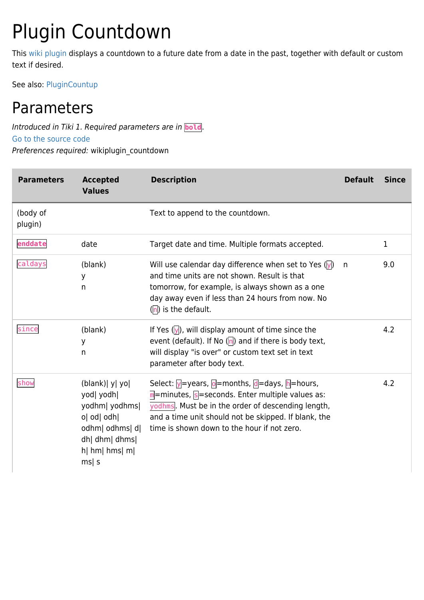## Plugin Countdown

This [wiki plugin](https://doc.tiki.org/wiki%20plugin) displays a countdown to a future date from a date in the past, together with default or custom text if desired.

See also: [PluginCountup](https://doc.tiki.org/PluginCountup)

## Parameters

Introduced in Tiki 1. Required parameters are in **bold**. [Go to the source code](https://gitlab.com/tikiwiki/tiki/-/blob/master/lib/wiki-plugins/wikiplugin_countdown.php) Preferences required: wikiplugin\_countdown

| <b>Parameters</b>   | <b>Accepted</b><br><b>Values</b>                                                                                                    | <b>Description</b>                                                                                                                                                                                                                                                                                                                | <b>Default</b> | <b>Since</b> |
|---------------------|-------------------------------------------------------------------------------------------------------------------------------------|-----------------------------------------------------------------------------------------------------------------------------------------------------------------------------------------------------------------------------------------------------------------------------------------------------------------------------------|----------------|--------------|
| (body of<br>plugin) |                                                                                                                                     | Text to append to the countdown.                                                                                                                                                                                                                                                                                                  |                |              |
| enddate             | date                                                                                                                                | Target date and time. Multiple formats accepted.                                                                                                                                                                                                                                                                                  |                | 1            |
| caldays             | (blank)<br>У<br>n                                                                                                                   | Will use calendar day difference when set to Yes $(\overline{y})$<br>and time units are not shown. Result is that<br>tomorrow, for example, is always shown as a one<br>day away even if less than 24 hours from now. No<br>$(n)$ is the default.                                                                                 | n              | 9.0          |
| since               | (blank)<br>y<br>n                                                                                                                   | If Yes $(\sqrt{y})$ , will display amount of time since the<br>event (default). If No ( $\vert n \vert$ ) and if there is body text,<br>will display "is over" or custom text set in text<br>parameter after body text.                                                                                                           |                | 4.2          |
| show                | (blank)   y   yo  <br>yod  yodh <br>yodhm  yodhms <br>o  od  odh <br>odhm  odhms  d <br>dh  dhm  dhms <br>$h$   hm  hms  m <br>ms s | Select: $\sqrt{y}$ =years, $\sqrt{0}$ =months, $\sqrt{d}$ =days, $\sqrt{h}$ =hours,<br>$\overline{m}$ = minutes, $\overline{s}$ = seconds. Enter multiple values as:<br>yodhms. Must be in the order of descending length,<br>and a time unit should not be skipped. If blank, the<br>time is shown down to the hour if not zero. |                | 4.2          |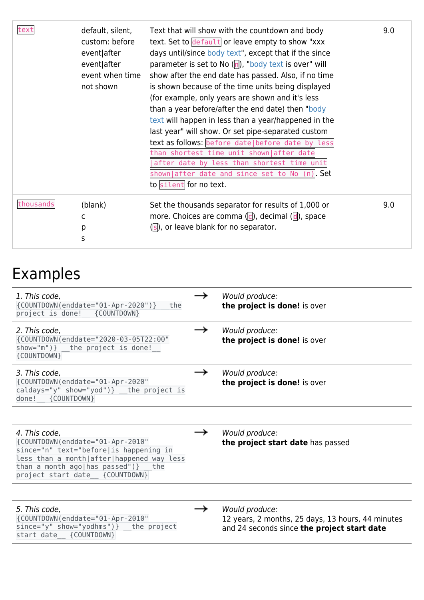| text      | default, silent,<br>custom: before<br>event after<br>event after<br>event when time<br>not shown | Text that will show with the countdown and body<br>text. Set to default or leave empty to show "xxx<br>days until/since body text", except that if the since<br>parameter is set to No $\left(\overline{n}\right)$ , "body text is over" will<br>show after the end date has passed. Also, if no time<br>is shown because of the time units being displayed<br>(for example, only years are shown and it's less<br>than a year before/after the end date) then "body<br>text will happen in less than a year/happened in the<br>last year" will show. Or set pipe-separated custom<br>text as follows: before date   before date by less<br>than shortest time unit shown after date<br>after date by less than shortest time unit<br>shown after date and since set to No (n). Set<br>to silent for no text. | 9.0 |
|-----------|--------------------------------------------------------------------------------------------------|---------------------------------------------------------------------------------------------------------------------------------------------------------------------------------------------------------------------------------------------------------------------------------------------------------------------------------------------------------------------------------------------------------------------------------------------------------------------------------------------------------------------------------------------------------------------------------------------------------------------------------------------------------------------------------------------------------------------------------------------------------------------------------------------------------------|-----|
| thousands | (blank)<br>C<br>р<br>S                                                                           | Set the thousands separator for results of 1,000 or<br>more. Choices are comma $\left(\left[\right]$ , decimal $\left(\left[\right]\right)$ , space<br>(s), or leave blank for no separator.                                                                                                                                                                                                                                                                                                                                                                                                                                                                                                                                                                                                                  | 9.0 |

## Examples

| 1. This code,<br>{COUNTDOWN(enddate="01-Apr-2020")} the<br>project is done! {COUNTDOWN}                                                                                                                             | Would produce:<br>the project is done! is over                                                                     |
|---------------------------------------------------------------------------------------------------------------------------------------------------------------------------------------------------------------------|--------------------------------------------------------------------------------------------------------------------|
| 2. This code,<br>{COUNTDOWN(enddate="2020-03-05T22:00"<br>show="m")} the project is done!<br>{COUNTDOWN}                                                                                                            | Would produce:<br>the project is done! is over                                                                     |
| 3. This code,<br>{COUNTDOWN(enddate="01-Apr-2020"<br>caldays="y" show="yod")} the project is<br>done! {COUNTDOWN}                                                                                                   | Would produce:<br>the project is done! is over                                                                     |
|                                                                                                                                                                                                                     |                                                                                                                    |
| 4. This code,<br>{COUNTDOWN(enddate="01-Apr-2010"<br>since="n" text="before is happening in<br>less than a month after happened way less<br>than a month ago   has passed") } the<br>project start date {COUNTDOWN} | Would produce:<br>the project start date has passed                                                                |
|                                                                                                                                                                                                                     |                                                                                                                    |
| 5. This code,<br>{COUNTDOWN(enddate="01-Apr-2010"<br>since="y" show="yodhms")} the project<br>start date {COUNTDOWN}                                                                                                | Would produce:<br>12 years, 2 months, 25 days, 13 hours, 44 minutes<br>and 24 seconds since the project start date |